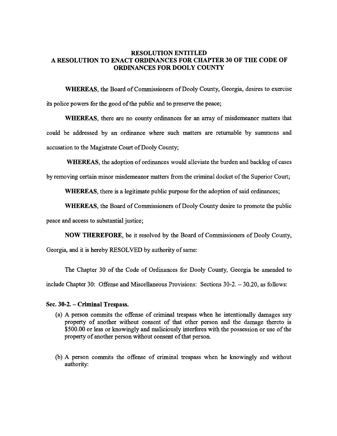### RESOLUTION ENTITLED A RESOLUTIONTO ENACT ORDINANCES FOR CHAPTER 30 OF THE CODE OF ORDINANCES FOR DOOLY COUNTY

WHEREAS, the Board of Commissioners of Dooly County, Georgia, desires to exercise its police powers for the good of the public and to preserve the peace;

WHEREAS, there are no county ordinances for an array of misdemeanor matters that could be addressed by an ordinance where such matters are returnable by summons and accusation to the Magistrate Court of Dooly County;

WHEREAS, the adoption of ordinances would alleviate the burden and backlog of cases

by removing certain minor misdemeanor matters from the criminal docket of the Superior Court;

WHEREAS, there is <sup>a</sup> legitimate public purpose for the adoption of said ordinances;

WHEREAS, the Board of Commissioners of Dooly County desire to promote the public

peace and access to substantial justice;

NOW THEREFORE, be it resolved by the Board of Commissioners of Dooly County,

Georgia, and it is hereby RESOLVED by authority of same:

The Chapter 30 of the Code of Ordinances for Dooly County, Georgia be amended to

include Chapter 30: Offense and Miscellaneous Provisions: Sections 30-2. - 30.20, as follows:

#### Sec. 30-2. - Criminal Trespass.

- (a) A person commits the offense of criminal trespass when he intentionally damages any property of another without consent of that other person and the damage thereto is \$500.00 or less or knowingly and maliciously interferes with the possession or use of the propertyof another person without consent of that person.
- (b) A person commits the offense of criminal trespass when he knowingly and without authority: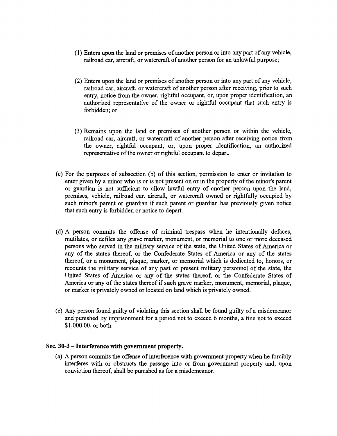- (1) Enters upon the land or premises of another person or into any part of any vehicle, railroad car, aircraft, or watercraft of another person for an unlawful purpose;
- (2) Enters upon the land or premises of another person or into any part of any vehicle, railroad car, aircraft, or watercraft of another person after receiving, prior to such entry, notice from the owner, rightful occupant, or, upon proper identification, an authorized representative of the owner or rightful occupant that such entry is forbidden; or
- (3) Remains upon the land or premises of another person or within the vehicle, railroad car, aircraft, or watercraft of another person after receiving notice from the owner, rightful occupant, or, upon proper identification, an authorized representative of the owner or rightful occupant to depart.
- (c) For the purposes of subsection (b) of this section, permission to enter or invitation to enter given by <sup>a</sup> minor who is or is not present on or in the property of the minor's parent or guardian is not sufficient to allow lawful entry of another person upon the land, premises, vehicle, railroad car. aircraft, or watercraft owned or rightfully occupied by such minor's parent or guardian if such parent or guardian has previously given notice that such entry is forbidden or notice to depart.
- (d) A person commits the offense of criminal trespass when he intentionally defaces, mutilates, or defiles any grave marker, monument, or memorial to one or more deceased persons who served in the military service of the state, the United States of America or any of the states thereof, or the Confederate States of America or any of the states thereof, or <sup>a</sup> monument, plaque, marker, or memorial which is dedicated to, honors, or recounts the military service of any past or present military personnel of the state, the United States of America or any of the states thereof, or the Confederate States of America or any of the states thereof if such grave marker, monument, memorial, plaque, or marker is privately owned or located on land which is privately owned.
- (e) Anyperson found guilty of violating this section shall be found guilty of <sup>a</sup> misdemeanor and punished by imprisonment for <sup>a</sup> period not to exceed <sup>6</sup> months, <sup>a</sup> fine not to exceed \$1,000.00, or both.

#### Sec. 30-3 – Interference with government property.

(a) A person commits the offense of interference with government property when he forcibly interferes with or obstructs the passage into or from government property and, upon conviction thereof, shall be punished as for a misdemeanor.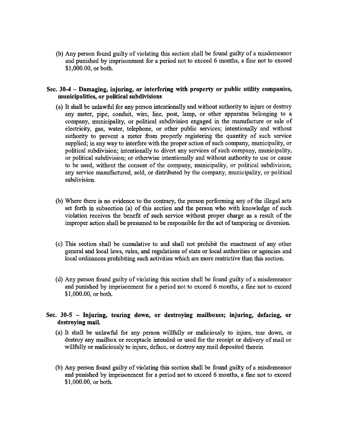(b) Anyperson found guilty of violating this section shall be found guilty of <sup>a</sup> misdemeanor and punished by imprisonment for <sup>a</sup> period not to exceed <sup>6</sup> months, <sup>a</sup> fine not to exceed \$1,000.00, or both.

### Sec. 30-4 - Damaging, injuring, or interfering with property or public utility companies, municipalities, or political subdivisions

- (a) It shall be unlawful for any person intentionally and without authority to injure or destroy any meter, pipe, conduit, wire, line, post, lamp, or other apparatus belonging to a company, municipality, or political subdivision engaged in the manufacture or sale of electricity, gas, water, telephone, or other public services; intentionally and without authority to prevent <sup>a</sup> meter from properly registering the quantity of such service supplied; in any way to interfere with the proper action of such company, municipality, or political subdivision; intentionally to divert any services of such company, municipality, or political subdivision; or otherwise intentionally and without authority to use or cause to be used, without the consent of the company, municipality, or political subdivision, any service manufactured, sold, or distributed by the company, municipality, or political subdivision.
- (b) Where there is no evidence to the contrary, the person performing any of the illegal acts set forth in subsection (a) of this section and the person who with knowledge of such violation receives the benefit of such service without proper charge as <sup>a</sup> result of the improper action shall be presumed to be responsible for the act of tampering or diversion.
- (c) This section shall be cumulative to and shall not prohibit the enactment of any other general and local laws, rules, and regulations of state or local authorities or agencies and local ordinances prohibiting such activities which are more restrictive than this section.
- (d) Anyperson found guilty of violating this section shall be found guilty of <sup>a</sup> misdemeanor and punished by imprisonment for <sup>a</sup> period not to exceed <sup>6</sup> months, <sup>a</sup> fine not to exceed \$1,000.00, or both.

### Sec. 30-5 - Injuring, tearing down, or destroying mailboxes; injuring, defacing, or destroying mail.

- (a) It shall be unlawful for any person willfully or maliciously to injure, tear down, or destroy any mailbox or receptacle intended or used for the receipt or delivery of mail or willfully or maliciously to injure, deface, or destroy any mail deposited therein.
- (b) Anyperson found guilty of violating this section shall be found guilty of <sup>a</sup> misdemeanor and punished by imprisonment for <sup>a</sup> period not to exceed 6 months, <sup>a</sup> fine not to exceed \$1,000.00, or both.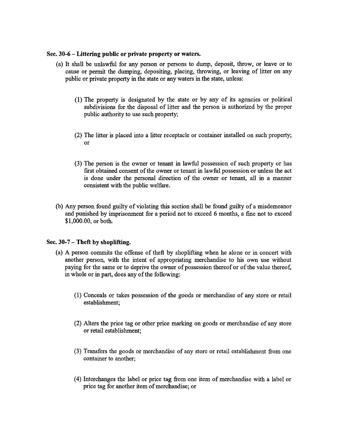#### Sec. 30-6 – Littering public or private property or waters.

- (a) It shall be unlawful for any person or persons to dump, deposit, throw, or leave or to cause or permit the dumping, depositing, placing, throwing, or leaving of litter on any public or private property in the state or any waters in the state, unless:
	- (1) The property is designated by the state or by any of its agencies or political subdivisions for the disposal of litter and the person is authorized by the proper public authority to use such property;
	- (2) The litter is placed into <sup>a</sup> litter receptacle or container installed on such property; or
	- (3) The person is the owner or tenant in lawful possession of such property or has first obtained consent of the owner or tenant in lawful possession or unless the act is done under the personal direction of the owner or tenant, all in <sup>a</sup> manner consistent with the public welfare.
- (b) Anyperson found guilty of violating this section shall be found guilty of <sup>a</sup> misdemeanor and punished by imprisonment for <sup>a</sup> period not to exceed <sup>6</sup> months, <sup>a</sup> fine not to exceed \$1,000.00, or both.

### Sec. 30-7 - Theft by shoplifting.

- (a) A person commits the offense of theft by shoplifting when he alone or in concert with another person, with the intent of appropriating merchandise to his own use without paying for the same or to deprive the owner of possession thereof or of the value thereof, in whole or in part, does any of the following:
	- (1) Conceals or takes possession of the goods or merchandise of any store or retail establishment;
	- (2) Alters the price tag or other price marking on goods or merchandise of any store or retail establishment;
	- (3) Transfers the goods or merchandise of any store or retail establishment from one container to another;
	- (4) Interchanges the label or price tag from one item of merchandise with <sup>a</sup> label or price tag for another item of merchandise; or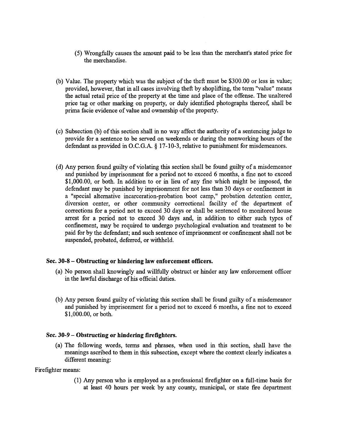- (5) Wrongfully causes the amount paid to be less than the merchant's stated price for the merchandise.
- (b) Value. The property which was the subject of the theft must be \$300.00 or less in value; provided, however, that in all cases involving theft by shoplifting, the term "value" means the actual retail price of the property at the time and place of the offense. The unaltered price tag or other marking on property, or duly identified photographs thereof, shall be prima facie evidence of value and ownership of the property.
- (c) Subsection (b) of this section shall in no way affect the authority of <sup>a</sup> sentencing judge to provide for <sup>a</sup> sentence to be served on weekends or during the nonworking hours of the defendant as provided in O.C.G.A. § 17-10-3, relative to punishment for misdemeanors.
- (d) Anyperson found guilty of violating this section shall be found guilty of <sup>a</sup> misdemeanor and punished by imprisonment for <sup>a</sup> period not to exceed 6 months, a fine not to exceed \$1,000.00, or both. In addition to or in lieu of any fine which might be imposed, the defendant may be punished by imprisonment for not less than 30 days or confinement in <sup>a</sup> "special alternative incarceration-probation boot camp," probation detention center, diversion center, or other community correctional facility of the department of corrections for <sup>a</sup> period not to exceed 30 days or shall be sentenced to monitored house arrest for <sup>a</sup> period not to exceed 30 days and, in addition to either such types of confinement, may be required to undergo psychological evaluation and treatment to be paid for by the defendant; and such sentence of imprisonment or confinement shall not be suspended, probated, deferred, or withheld.

### Sec. 30-8 – Obstructing or hindering law enforcement officers.

- (a) No person shall knowinglyand willfully obstruct or hinder any law enforcement officer in the lawful discharge of his official duties.
- (b) Anyperson found guilty of violating this section shall be found guilty of <sup>a</sup> misdemeanor and punished by imprisonment for <sup>a</sup> period not to exceed <sup>6</sup> months, <sup>a</sup> fine not to exceed \$1,000.00, or both.

### Sec.  $30-9$  – Obstructing or hindering firefighters.

(a) The following words, terms and phrases, when used in this section, shall have the meanings ascribed to them in this subsection, except where the context clearly indicates <sup>a</sup> different meaning:

Firefighter means:

(1) Anyperson who is employed as <sup>a</sup> professional firefighter on <sup>a</sup> full-time basis for at least 40 hours per week by any county, municipal, or state fire department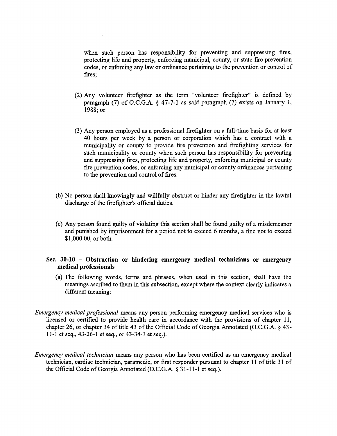when such person has responsibility for preventing and suppressing fires, protecting life and property, enforcing municipal, county, or state fire prevention codes, or enforcing any law or ordinance pertaining to the prevention or control of fires;

- (2) Any volunteer firefighter as the term "volunteer firefighter" is defined by paragraph (7) of O.C.G.A.  $\S$  47-7-1 as said paragraph (7) exists on January 1, 1988; or
- (3) Anyperson employed as <sup>a</sup> professional firefighter on <sup>a</sup> full-time basis for at least 40 hours per week by <sup>a</sup> person or corporation which has <sup>a</sup> contract with <sup>a</sup> municipality or county to provide fire prevention and firefighting services for such municipality or county when such person has responsibility for preventing and suppressing fires, protecting life and property, enforcing municipal or county fire prevention codes, or enforcing any municipal or county ordinances pertaining to the prevention and control of fires.
- (b) No person shall knowingly and willfully obstruct or hinder any firefighter in the lawful discharge of the firefighter's official duties.
- (c) Anyperson found guilty of violating this section shall be found guilty of <sup>a</sup> misdemeanor and punished by imprisonment for <sup>a</sup> period not to exceed 6 months, <sup>a</sup> fine not to exceed \$1,000.00, or both.

### Sec.  $30-10$  – Obstruction or hindering emergency medical technicians or emergency medical professionals

- (a) The following words, terms and phrases, when used in this section, shall have the meanings ascribed to them in this subsection, except where the context clearly indicates <sup>a</sup> different meaning:
- Emergency medical professional means any person performing emergency medical services who is licensed or certified to provide health care in accordance with the provisions of chapter 11, chapter 26, or chapter 34 of title <sup>43</sup> of the Official Code of Georgia Annotated (O.C.G.A. § 43- 11-1 et seq., 43-26-1 et seq., or 43-34-1 et seq.).
- Emergency medical technician means any person who has been certified as an emergency medical technician, cardiac technician, paramedic, or first responder pursuant to chapter <sup>11</sup> of title 31 of the Official Code of Georgia Annotated(O.C.G.A. § 31-11-1 et seq.).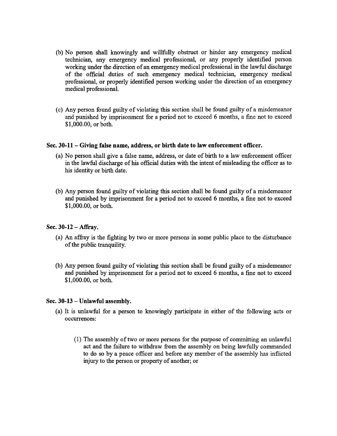- (b) No person shall knowingly and willfully obstruct or hinder any emergency medical technician, any emergency medical professional, or any properly identified person working under the direction of an emergency medical professional in the lawful discharge of the official duties of such emergency medical technician, emergency medical professional, or properly identified person working under the direction of an emergency medical professional.
- (c) Anyperson found guilty of violating this section shall be found guilty of <sup>a</sup> misdemeanor and punished by imprisonment for <sup>a</sup> period not to exceed <sup>6</sup> months, <sup>a</sup> fine not to exceed \$1,000.00, or both.

### Sec. 30-11- Giving false name, address, or birth date to law enforcement officer.

- (a) No person shall give <sup>a</sup> false name, address, or date of birth to <sup>a</sup> law enforcement officer in the lawful discharge of his official duties with the intent of misleading the officer as to his identity or birth date.
- (b) Anyperson found guilty of violating this section shall be found guilty of <sup>a</sup> misdemeanor and punished by imprisonment for <sup>a</sup> period not to exceed 6 months, <sup>a</sup> fine not to exceed \$1,000.00, or both.

### Sec. 30-12 - Affray.

- (a) An affray is the fighting by two or more persons in some public place to the disturbance of the public tranquility.
- (b) Anyperson found guilty of violating this section shall be found guilty of <sup>a</sup> misdemeanor and punished by imprisonment for <sup>a</sup> period not to exceed 6 months, a fine not to exceed \$1,000.00, or both.

## Sec. 30-13 - Unlawful assembly.

- (a) It is unlawful for <sup>a</sup> person to knowingly participate in either of the following acts or occurrences:
	- (1) The assembly of two or more persons for the purpose of committing an unlawful act and the failure to withdraw from the assembly on being lawfully commanded to do so by <sup>a</sup> peace officer and before any member of the assembly has inflicted injury to the person or property of another; or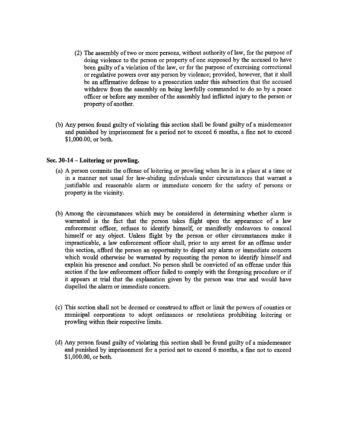- (2) The assembly of two or more persons, without authority of law, for the purpose of doing violence to the person or property of one supposed by the accused to have been guilty of <sup>a</sup> violation of the law, or for the purpose of exercising correctional or regulative powers over any person by violence; provided, however, that it shall be an affirmative defense to <sup>a</sup> prosecution under this subsection that the accused withdrew from the assembly on being lawfully commanded to do so by <sup>a</sup> peace officer or before any member of the assembly had inflicted injuryto the person or propertyof another.
- (b) Anyperson found guilty of violating this section shall be found guilty of <sup>a</sup> misdemeanor and punished by imprisonment for <sup>a</sup> period not to exceed <sup>6</sup> months, <sup>a</sup> fine not to exceed \$1,000.00, or both.

### Sec. 30-14 - Loitering or prowling.

- (a) A person commits the offense of loitering or prowling when he is in <sup>a</sup> place at <sup>a</sup> time or in <sup>a</sup> manner not usual for law-abiding individuals under circumstances that warrant <sup>a</sup> justifiable and reasonable alarm or immediate concern for the safety of persons or property in the vicinity.
- (b) Among the circumstances which may be considered in determining whether alarm is warranted is the fact that the person takes flight upon the appearance of <sup>a</sup> law enforcement officer, refuses to identify himself, or manifestly endeavors to conceal himself or any object. Unless flight by the person or other circumstances make it impracticable, <sup>a</sup> law enforcement officer shall, prior to any arrest for an offense under this section, afford the person an opportunity to dispel any alarm or immediate concern which would otherwise be warranted by requesting the person to identify himself and explain his presence and conduct. No person shall be convicted of an offense under this section if the law enforcement officer failed to comply with the foregoing procedure or if it appears at trial that the explanation given by the person was true and would have dispelled the alarm or immediate concern.
- (c) This section shall not be deemed or construed to affect or limit the powers of counties or municipal corporations to adopt ordinances or resolutions prohibiting loitering or prowling within their respective limits.
- (d) Anyperson found guilty of violating this section shall be found guilty of <sup>a</sup> misdemeanor and punished by imprisonment for <sup>a</sup> period not to exceed 6 months, <sup>a</sup> fine not to exceed \$1,000.00, or both.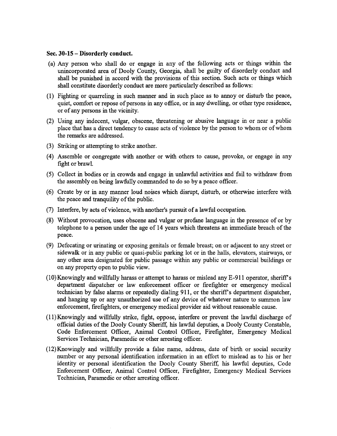#### Sec. 30-15 - Disorderly conduct.

- (a) Any person who shall do or engage in any of the following acts or things within the unincorporated area of Dooly County, Georgia, shall be guilty of disorderly conduct and shall be punished in accord with the provisions of this section. Such acts or things which shall constitute disorderly conduct are more particularly described as follows:
- (1) Fighting or quarreling in such manner and in such place as to annoy or disturb the peace, quiet, comfort or repose of persons in any office, or in any dwelling, or other type residence, or of any persons in the vicinity.
- (2) Using any indecent, vulgar, obscene, threatening or abusive language in or near <sup>a</sup> public place that has <sup>a</sup> direct tendency to cause acts of violence by the person to whom or of whom the remarks are addressed.
- (3) Striking or attempting to strike another.
- (4) Assemble or congregate with another or with others to cause, provoke, or engage in any fight or brawl.
- (5) Collect in bodies or in crowds and engage in unlawful activities and fail to withdraw from the assembly on being lawfully commanded to do so by a peace officer.
- (6) Create by or in any manner loud noises which disrupt, disturb, or otherwise interfere with the peace and tranquility of the public.
- (7) Interfere, by acts of violence, with another's pursuit of <sup>a</sup> lawful occupation.
- (8) Without provocation, uses obscene and vulgar or profane language in the presence of or by telephone to a person under the age of 14 years which threatens an immediate breach of the peace.
- (9) Defecating or urinating or exposing genitals or female breast; on or adjacent to any street or sidewalk or in any public or quasi-public parking lot or in the halls, elevators, stairways, or any other area designated for public passage within any public or commercial buildings or on any propertyopen to public view.
- (10) Knowingly and willfully harass or attempt to harass or mislead any E-911 operator, sheriff <sup>s</sup> department dispatcher or law enforcement officer or firefighter or emergency medical technician by false alarms or repeatedly dialing 911, or the sheriff <sup>s</sup> department dispatcher, and hanging up or any unauthorized use of any device of whatever nature to summon law enforcement, firefighters, or emergency medical provider aid without reasonable cause.
- (ll)Knowinglyand willfully strike, fight, oppose, interfere or prevent the lawful discharge of official duties of the Dooly County Sheriff, his lawful deputies, <sup>a</sup> Dooly County Constable, Code Enforcement Officer, Animal Control Officer, Firefighter, Emergency Medical Services Technician, Paramedic or other arresting officer.
- (12) Knowingly and willfully provide <sup>a</sup> false name, address, date of birth or social security number or any personal identification information in an effort to mislead as to his or her identity or personal identification the Dooly County Sheriff, his lawful deputies, Code Enforcement Officer, Animal Control Officer, Firefighter, Emergency Medical Services Technician, Paramedic or other arresting officer.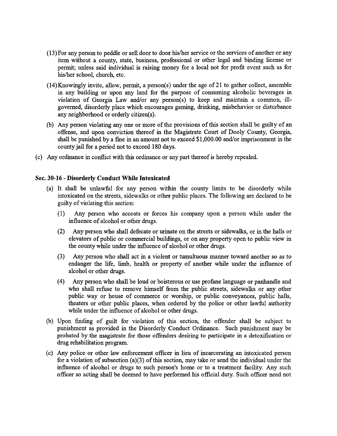- (13) For any person to peddle or sell door to door his/her service or the services of another or any item without <sup>a</sup> county, state, business, professional or other legal and binding license or permit; unless said individual is raising money for <sup>a</sup> local not for profit event such as for his/her school, church, etc.
- (14) Knowingly invite, allow, permit, <sup>a</sup> person(s) under the age of <sup>21</sup> to gather collect, assemble in any building or upon any land for the purpose of consuming alcoholic beverages in violation of Georgia Law and/or any person(s) to keep and maintain <sup>a</sup> common, illgoverned, disorderly place which encourages gaming, drinking, misbehavior or disturbance any neighborhood or orderly citizen(s).
- (b) Anyperson violating any one or more of the provisions of this section shall be guilty of an offense, and upon conviction thereof in the Magistrate Court of Dooly County, Georgia, shall be punished by a fine in an amount not to exceed \$1,000.00 and/or imprisonment in the county jail for <sup>a</sup> period not to exceed <sup>180</sup> days.
- (c) Any ordinance in conflict with this ordinance or any part thereofis hereby repealed.

### Sec. 30-16 - Disorderly Conduct While Intoxicated

- (a) It shall be unlawful for any person within the county limits to be disorderly while intoxicated on the streets, sidewalks or other public places. The following are declared to be guiltyof violating this section:
	- (1) Any person who accosts or forces his company upon <sup>a</sup> person while under the influence of alcohol or other drugs.
	- (2) Anyperson who shall defecate or urinate on the streets or sidewalks, or in the halls or elevators of public or commercial buildings, or on any property open to public view in the county while under the influence of alcohol or other drugs.
	- (3) Any person who shall act in <sup>a</sup> violent or tumultuous manner toward another so as to endanger the life, limb, health or property of another while under the influence of alcohol or other drugs.
	- (4) Anyperson who shall be loud or boisterous or use profane language or panhandle and who shall refuse to remove himself from the public streets, sidewalks or any other public way or house of commerce or worship, or public conveyances, public halls, theaters or other public places, when ordered by the police or other lawful authority while under the influence of alcohol or other drugs.
- (b) Upon finding of guilt for violation of this section, the offender shall be subject to punishment as provided in the Disorderly Conduct Ordinance. Such punishment may be probated by the magistrate for those offenders desiring to participate in <sup>a</sup> detoxification or drug rehabilitation program.
- (c) Any police or other law enforcement officer in lieu of incarcerating an intoxicated person for <sup>a</sup> violation of subsection (a)(3) of this section, may take or send the individual under the influence of alcohol or drugs to such person's home or to <sup>a</sup> treatment facility. Any such officer so acting shall be deemed to have performed his official duty. Such officer need not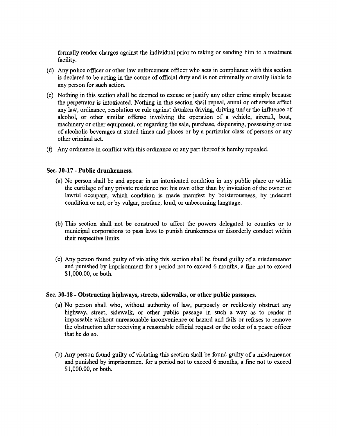formally render charges against the individual prior to taking or sending him to a treatment facility.

- (d) Anypolice officer or other law enforcement officer who acts in compliance with this section is declared to be acting in the course of official duty and is not criminally or civilly liable to any person for such action.
- (e) Nothing in this section shall be deemed to excuse or justify any other crime simply because the perpetrator is intoxicated. Nothing in this section shall repeal, annul or otherwise affect any law, ordinance, resolution or rule against drunken driving, driving under the influence of alcohol, or other similar offense involving the operation of <sup>a</sup> vehicle, aircraft, boat, machinery or other equipment, or regarding the sale, purchase, dispensing, possessing or use of alcoholic beverages at stated times and places or by <sup>a</sup> particular class of persons or any other criminal act.
- (f) Anyordinance in conflict with this ordinance or any part thereofis hereby repealed.

### Sec. 30-17 - Public drunkenness.

- (a) No person shall be and appear in an intoxicated condition in any public place or within the curtilage of any private residence not his own other than by invitation of the owner or lawful occupant, which condition is made manifest by boisterousness, by indecent condition or act, or by vulgar, profane, loud, or unbecoming language.
- (b) This section shall not be construed to affect the powers delegated to counties or to municipal corporations to pass laws to punish drunkenness or disorderly conduct within their respective limits.
- (c) Anyperson found guilty of violating this section shall be found guilty of <sup>a</sup> misdemeanor and punished by imprisonment for <sup>a</sup> period not to exceed 6 months, <sup>a</sup> fine not to exceed \$1,000.00, or both.

### Sec. 30-18 - Obstructing highways, streets, sidewalks, or other public passages.

- (a) No person shall who, without authority of law, purposely or recklessly obstruct any highway, street, sidewalk, or other public passage in such <sup>a</sup> way as to render it impassable without unreasonable inconvenience or hazard and fails or refuses to remove the obstruction after receiving <sup>a</sup> reasonable official request or the order of <sup>a</sup> peace officer that he do so.
- (b) Anyperson found guilty of violating this section shall be found guilty of <sup>a</sup> misdemeanor and punished by imprisonment for <sup>a</sup> period not to exceed 6 months, a fine not to exceed \$1,000.00, or both.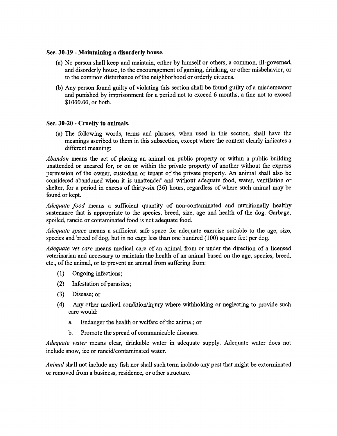### Sec. 30-19 - Maintaining <sup>a</sup> disorderly house.

- (a) No person shall keep and maintain, either by himself or others, <sup>a</sup> common, ill-governed, and disorderly house, to the encouragement of gaming, drinking, or other misbehavior, or to the common disturbance of the neighborhood or orderly citizens.
- (b) Anyperson found guilty of violating this section shall be found guilty of <sup>a</sup> misdemeanor and punished by imprisonment for <sup>a</sup> period not to exceed <sup>6</sup> months, <sup>a</sup> fine not to exceed \$1000.00, or both.

## Sec. 30-20 - Cruelty to animals.

(a) The following words, terms and phrases, when used in this section, shall have the meanings ascribed to them in this subsection, except where the context clearly indicates <sup>a</sup> different meaning:

Abandon means the act of placing an animal on public property or within a public building unattended or uncared for, or on or within the private property of another without the express permission of the owner, custodian or tenant of the private property. An animal shall also be considered abandoned when it is unattended and without adequate food, water, ventilation or shelter, for <sup>a</sup> period in excess of thirty-six(36) hours, regardless of where such animal may be found or kept.

Adequate food means a sufficient quantity of non-contaminated and nutritionally healthy sustenance that is appropriate to the species, breed, size, age and health of the dog. Garbage, spoiled, rancid or contaminated food is not adequate food.

Adequate space means a sufficient safe space for adequate exercise suitable to the age, size, species and breed of dog, but in no cage less than one hundred  $(100)$  square feet per dog.

Adequate vet care means medical care of an animal from or under the direction of a licensed veterinarian and necessary to maintain the health of an animal based on the age, species, breed, etc., of the animal, or to prevent an animal from suffering from:

- (1) Ongoing infections;
- (2) Infestation of parasites;
- (3) Disease; or
- (4) Any other medical condition/injury where withholding or neglecting to provide such care would:
	- a. Endanger the health or welfare of the animal; or
	- b. Promote the spread of communicable diseases.

Adequate water means clear, drinkable water in adequate supply. Adequate water does not include snow, ice or rancid/contaminated water.

Animal shall not include any fish nor shall such term include any pest that might be exterminated or removed from <sup>a</sup> business, residence, or other structure.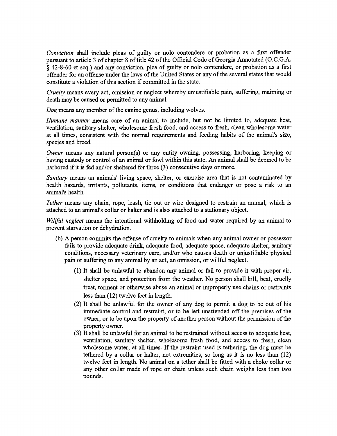Conviction shall include pleas of guilty or nolo contendere or probation as <sup>a</sup> first offender pursuant to article <sup>3</sup> of chapter <sup>8</sup> of title <sup>42</sup> of the Official Code of Georgia Annotated(O.C.G.A. § 42-8-60 et seq.) and any conviction, plea of guilty or nolo contendere, or probation as <sup>a</sup> first offender for an offense under the laws of the United States or any of the several states that would constitute <sup>a</sup> violation of this section if committed in the state.

Cruelty means every act, omission or neglect whereby unjustifiable pain, suffering, maiming or death may be caused or permitted to any animal.

Dog means any member of the canine genus, including wolves.

Humane manner means care of an animal to include, but not be limited to, adequate heat, ventilation, sanitary shelter, wholesome fresh food, and access to fresh, clean wholesome water at all times, consistent with the normal requirements and feeding habits of the animal's size, species and breed.

Owner means any natural person(s) or any entity owning, possessing, harboring, keeping or having custody or control of an animal or fowl within this state. An animal shall be deemed to be harbored if it is fed and/or sheltered for three (3) consecutive days or more.

Sanitary means an animals' living space, shelter, or exercise area that is not contaminated by health hazards, irritants, pollutants, items, or conditions that endanger or pose <sup>a</sup> risk to an animal's health.

Tether means any chain, rope, leash, tie out or wire designed to restrain an animal, which is attached to an animal's collar or halter and is also attached to a stationary object.

Willful neglect means the intentional withholding of food and water required by an animal to prevent starvation or dehydration.

- (b) A person commits the offense of cruelty to animals when any animal owner or possessor fails to provide adequate drink, adequate food, adequate space, adequate shelter, sanitary conditions, necessary veterinary care, and/or who causes death or unjustifiable physical pain or suffering to any animal by an act, an omission, or willful neglect.
	- (1) It shall be unlawful to abandon any animal or fail to provide it with proper air, shelter space, and protection from the weather. No person shall kill, beat, cruelly treat, torment or otherwise abuse an animal or improperly use chains or restraints less than (12) twelve feet in length.
	- (2) It shall be unlawful for the owner of any dog to permit <sup>a</sup> dog to be out of his immediate control and restraint, or to be left unattended off the premises of the owner, or to be upon the property of another person without the permission of the property owner.
	- $(3)$  It shall be unlawful for an animal to be restrained without access to adequate heat, ventilation, sanitary shelter, wholesome fresh food, and access to fresh, clean wholesome water, at all times. If the restraint used is tethering, the dog must be tethered by a collar or halter, not extremities, so long as it is no less than (12) twelve feet in length. No animal on <sup>a</sup> tether shall be fitted with <sup>a</sup> choke collar or any other collar made of rope or chain unless such chain weighs less than two pounds.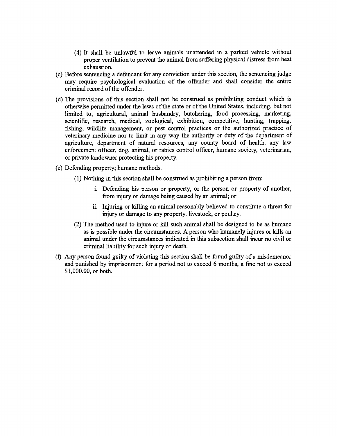- (4) It shall be unlawful to leave animals unattended in <sup>a</sup> parked vehicle without proper ventilation to prevent the animal from suffering physical distress from heat exhaustion.
- (c) Before sentencing <sup>a</sup> defendant for any conviction under this section, the sentencing judge may require psychological evaluation of the offender and shall consider the entire criminal record of the offender.
- (d) The provisions of this section shall not be construed as prohibiting conduct which is otherwise permitted under the laws of the state or of the United States, including, but not limited to, agricultural, animal husbandry, butchering, food processing, marketing, scientific, research, medical, zoological, exhibition, competitive, hunting, trapping, fishing, wildlife management, or pest control practices or the authorized practice of veterinary medicine nor to limit in any way the authority or duty of the department of agriculture, department of natural resources, any county board of health, any law enforcement officer, dog, animal, or rabies control officer, humane society, veterinarian, or private landowner protecting his property.
- (e) Defending property; humane methods.
	- (1) Nothing in this section shall be construed as prohibiting <sup>a</sup> person from:
		- i. Defending his person or property, or the person or property of another, from injury or damage being caused by an animal; or
		- ii. Injuring or killing an animal reasonably believed to constitute a threat for injury or damage to any property, livestock, or poultry.
	- (2) The method used to injure or kill such animal shall be designed to be as humane as is possible under the circumstances. A person who humanely injures or kills an animal under the circumstances indicated in this subsection shall incur no civil or criminal liability for such injuryor death.
- (f) Any person found guilty of violating this section shall be found guilty of <sup>a</sup> misdemeanor and punished by imprisonment for <sup>a</sup> period not to exceed <sup>6</sup> months, <sup>a</sup> fine not to exceed \$1,000.00, or both.